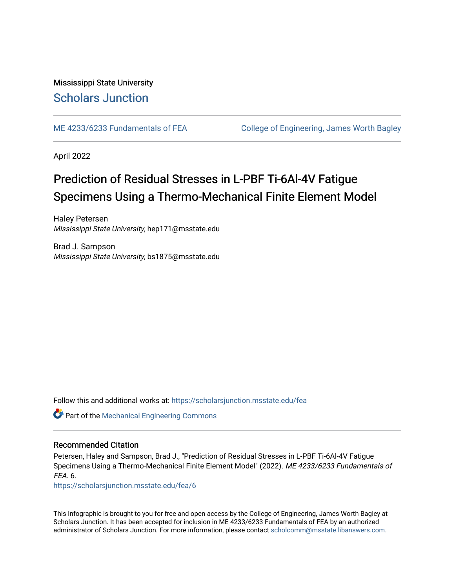Mississippi State University [Scholars Junction](https://scholarsjunction.msstate.edu/) 

[ME 4233/6233 Fundamentals of FEA](https://scholarsjunction.msstate.edu/fea) [College of Engineering, James Worth Bagley](https://scholarsjunction.msstate.edu/bagley) 

April 2022

#### Prediction of Residual Stresses in L-PBF Ti-6Al-4V Fatigue Specimens Using a Thermo-Mechanical Finite Element Model

Haley Petersen Mississippi State University, hep171@msstate.edu

Brad J. Sampson Mississippi State University, bs1875@msstate.edu

Follow this and additional works at: [https://scholarsjunction.msstate.edu/fea](https://scholarsjunction.msstate.edu/fea?utm_source=scholarsjunction.msstate.edu%2Ffea%2F6&utm_medium=PDF&utm_campaign=PDFCoverPages)

**Part of the Mechanical Engineering Commons** 

#### Recommended Citation

Petersen, Haley and Sampson, Brad J., "Prediction of Residual Stresses in L-PBF Ti-6Al-4V Fatigue Specimens Using a Thermo-Mechanical Finite Element Model" (2022). ME 4233/6233 Fundamentals of FEA. 6.

[https://scholarsjunction.msstate.edu/fea/6](https://scholarsjunction.msstate.edu/fea/6?utm_source=scholarsjunction.msstate.edu%2Ffea%2F6&utm_medium=PDF&utm_campaign=PDFCoverPages) 

This Infographic is brought to you for free and open access by the College of Engineering, James Worth Bagley at Scholars Junction. It has been accepted for inclusion in ME 4233/6233 Fundamentals of FEA by an authorized administrator of Scholars Junction. For more information, please contact [scholcomm@msstate.libanswers.com](mailto:scholcomm@msstate.libanswers.com).